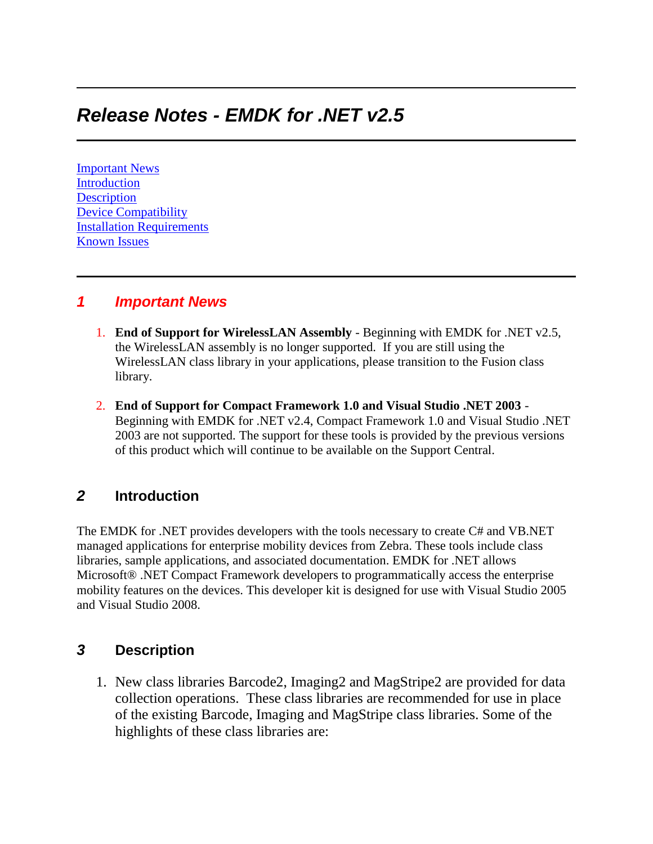# *Release Notes - EMDK for .NET v2.5*

[Important News](https://atgsupportcentral.motorolasolutions.com/content/emb/docs/ReleaseNotes/Release%20Notes%20-%20EMDK-M-020511-UP1D.htm#Important_News) **[Introduction](https://atgsupportcentral.motorolasolutions.com/content/emb/docs/ReleaseNotes/Release%20Notes%20-%20EMDK-M-020511-UP1D.htm#Introduction) [Description](https://atgsupportcentral.motorolasolutions.com/content/emb/docs/ReleaseNotes/Release%20Notes%20-%20EMDK-M-020511-UP1D.htm#Description)** [Device Compatibility](https://atgsupportcentral.motorolasolutions.com/content/emb/docs/ReleaseNotes/Release%20Notes%20-%20EMDK-M-020511-UP1D.htm#Compatibility_) [Installation Requirements](https://atgsupportcentral.motorolasolutions.com/content/emb/docs/ReleaseNotes/Release%20Notes%20-%20EMDK-M-020511-UP1D.htm#Installation_Requirements) [Known Issues](https://atgsupportcentral.motorolasolutions.com/content/emb/docs/ReleaseNotes/Release%20Notes%20-%20EMDK-M-020511-UP1D.htm#Known_Issues)

#### *1 Important News*

- 1. **End of Support for WirelessLAN Assembly** Beginning with EMDK for .NET v2.5, the WirelessLAN assembly is no longer supported. If you are still using the WirelessLAN class library in your applications, please transition to the Fusion class library.
- 2. **End of Support for Compact Framework 1.0 and Visual Studio .NET 2003** Beginning with EMDK for .NET v2.4, Compact Framework 1.0 and Visual Studio .NET 2003 are not supported. The support for these tools is provided by the previous versions of this product which will continue to be available on the Support Central.

## *2* **Introduction**

The EMDK for .NET provides developers with the tools necessary to create C# and VB.NET managed applications for enterprise mobility devices from Zebra. These tools include class libraries, sample applications, and associated documentation. EMDK for .NET allows Microsoft® .NET Compact Framework developers to programmatically access the enterprise mobility features on the devices. This developer kit is designed for use with Visual Studio 2005 and Visual Studio 2008.

### *3* **Description**

1. New class libraries Barcode2, Imaging2 and MagStripe2 are provided for data collection operations. These class libraries are recommended for use in place of the existing Barcode, Imaging and MagStripe class libraries. Some of the highlights of these class libraries are: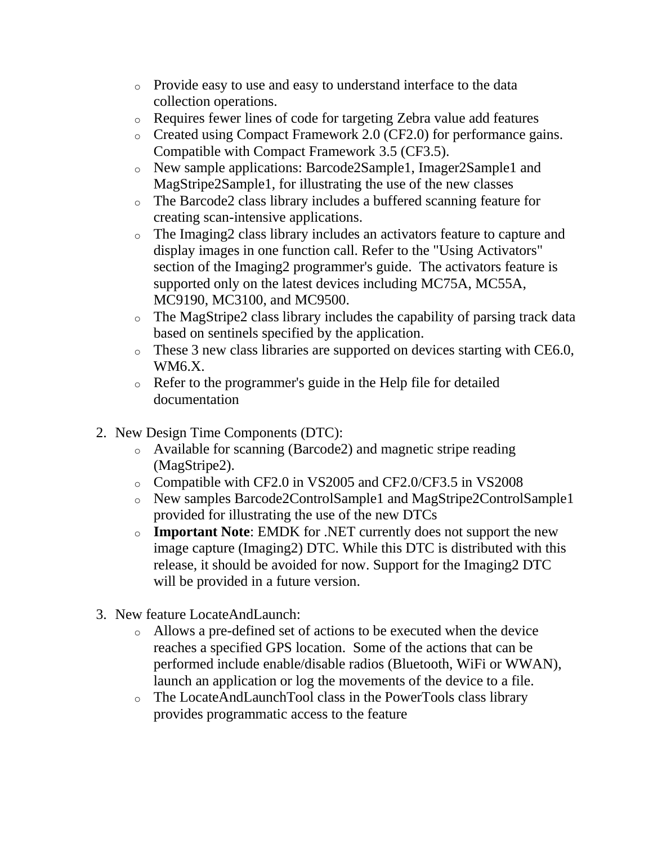- o Provide easy to use and easy to understand interface to the data collection operations.
- o Requires fewer lines of code for targeting Zebra value add features
- o Created using Compact Framework 2.0 (CF2.0) for performance gains. Compatible with Compact Framework 3.5 (CF3.5).
- o New sample applications: Barcode2Sample1, Imager2Sample1 and MagStripe2Sample1, for illustrating the use of the new classes
- o The Barcode2 class library includes a buffered scanning feature for creating scan-intensive applications.
- o The Imaging2 class library includes an activators feature to capture and display images in one function call. Refer to the "Using Activators" section of the Imaging2 programmer's guide. The activators feature is supported only on the latest devices including MC75A, MC55A, MC9190, MC3100, and MC9500.
- o The MagStripe2 class library includes the capability of parsing track data based on sentinels specified by the application.
- o These 3 new class libraries are supported on devices starting with CE6.0, WM6.X.
- o Refer to the programmer's guide in the Help file for detailed documentation
- 2. New Design Time Components (DTC):
	- o Available for scanning (Barcode2) and magnetic stripe reading (MagStripe2).
	- o Compatible with CF2.0 in VS2005 and CF2.0/CF3.5 in VS2008
	- o New samples Barcode2ControlSample1 and MagStripe2ControlSample1 provided for illustrating the use of the new DTCs
	- o **Important Note**: EMDK for .NET currently does not support the new image capture (Imaging2) DTC. While this DTC is distributed with this release, it should be avoided for now. Support for the Imaging2 DTC will be provided in a future version.
- 3. New feature LocateAndLaunch:
	- o Allows a pre-defined set of actions to be executed when the device reaches a specified GPS location. Some of the actions that can be performed include enable/disable radios (Bluetooth, WiFi or WWAN), launch an application or log the movements of the device to a file.
	- o The LocateAndLaunchTool class in the PowerTools class library provides programmatic access to the feature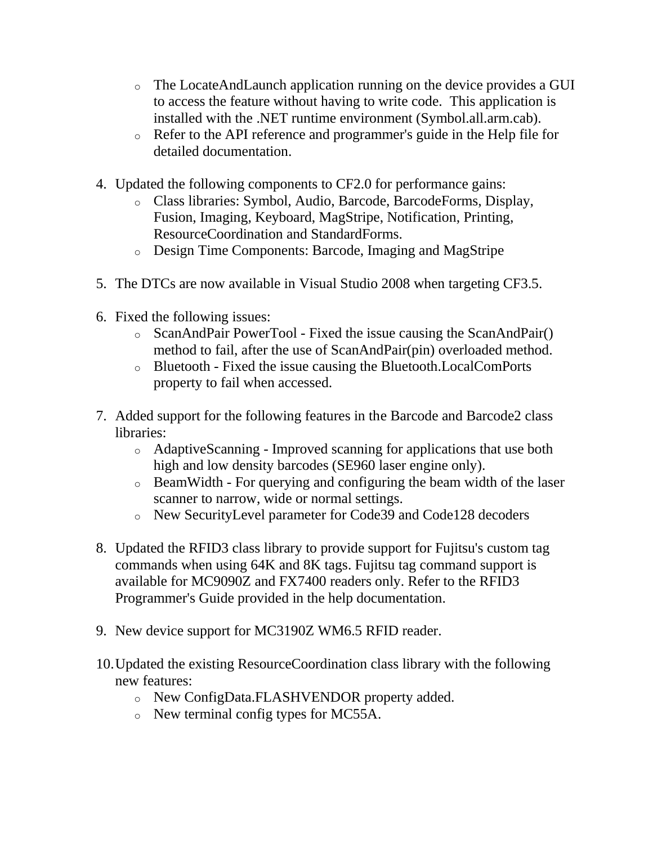- o The LocateAndLaunch application running on the device provides a GUI to access the feature without having to write code. This application is installed with the .NET runtime environment (Symbol.all.arm.cab).
- o Refer to the API reference and programmer's guide in the Help file for detailed documentation.
- 4. Updated the following components to CF2.0 for performance gains:
	- o Class libraries: Symbol, Audio, Barcode, BarcodeForms, Display, Fusion, Imaging, Keyboard, MagStripe, Notification, Printing, ResourceCoordination and StandardForms.
	- o Design Time Components: Barcode, Imaging and MagStripe
- 5. The DTCs are now available in Visual Studio 2008 when targeting CF3.5.
- 6. Fixed the following issues:
	- o ScanAndPair PowerTool Fixed the issue causing the ScanAndPair() method to fail, after the use of ScanAndPair(pin) overloaded method.
	- o Bluetooth Fixed the issue causing the Bluetooth.LocalComPorts property to fail when accessed.
- 7. Added support for the following features in the Barcode and Barcode2 class libraries:
	- o AdaptiveScanning Improved scanning for applications that use both high and low density barcodes (SE960 laser engine only).
	- o BeamWidth For querying and configuring the beam width of the laser scanner to narrow, wide or normal settings.
	- o New SecurityLevel parameter for Code39 and Code128 decoders
- 8. Updated the RFID3 class library to provide support for Fujitsu's custom tag commands when using 64K and 8K tags. Fujitsu tag command support is available for MC9090Z and FX7400 readers only. Refer to the RFID3 Programmer's Guide provided in the help documentation.
- 9. New device support for MC3190Z WM6.5 RFID reader.
- 10.Updated the existing ResourceCoordination class library with the following new features:
	- o New ConfigData.FLASHVENDOR property added.
	- o New terminal config types for MC55A.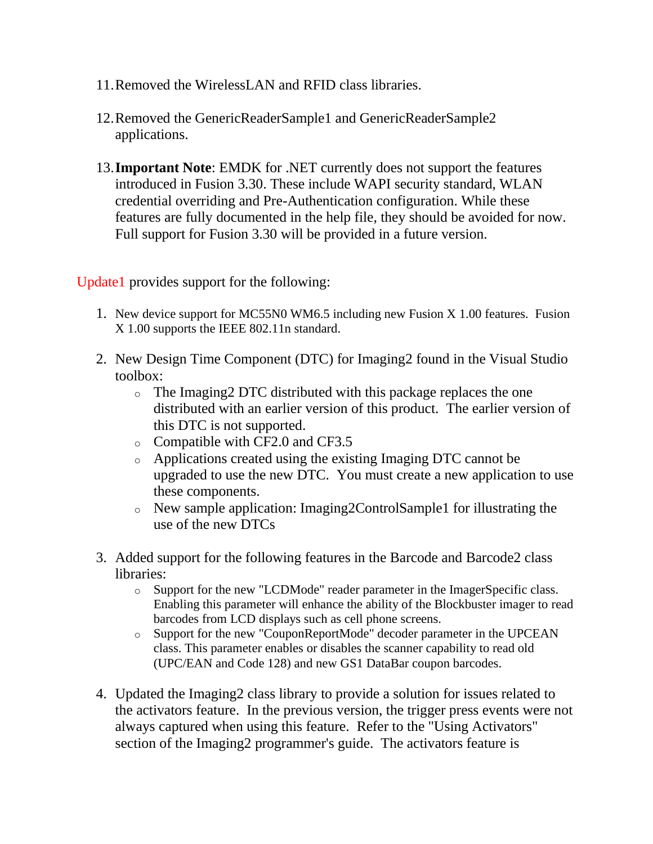- 11.Removed the WirelessLAN and RFID class libraries.
- 12.Removed the GenericReaderSample1 and GenericReaderSample2 applications.
- 13.**Important Note**: EMDK for .NET currently does not support the features introduced in Fusion 3.30. These include WAPI security standard, WLAN credential overriding and Pre-Authentication configuration. While these features are fully documented in the help file, they should be avoided for now. Full support for Fusion 3.30 will be provided in a future version.

Update1 provides support for the following:

- 1. New device support for MC55N0 WM6.5 including new Fusion X 1.00 features. Fusion X 1.00 supports the IEEE 802.11n standard.
- 2. New Design Time Component (DTC) for Imaging2 found in the Visual Studio toolbox:
	- o The Imaging2 DTC distributed with this package replaces the one distributed with an earlier version of this product. The earlier version of this DTC is not supported.
	- o Compatible with CF2.0 and CF3.5
	- o Applications created using the existing Imaging DTC cannot be upgraded to use the new DTC. You must create a new application to use these components.
	- o New sample application: Imaging2ControlSample1 for illustrating the use of the new DTCs
- 3. Added support for the following features in the Barcode and Barcode2 class libraries:
	- o Support for the new "LCDMode" reader parameter in the ImagerSpecific class. Enabling this parameter will enhance the ability of the Blockbuster imager to read barcodes from LCD displays such as cell phone screens.
	- o Support for the new "CouponReportMode" decoder parameter in the UPCEAN class. This parameter enables or disables the scanner capability to read old (UPC/EAN and Code 128) and new GS1 DataBar coupon barcodes.
- 4. Updated the Imaging2 class library to provide a solution for issues related to the activators feature. In the previous version, the trigger press events were not always captured when using this feature. Refer to the "Using Activators" section of the Imaging2 programmer's guide. The activators feature is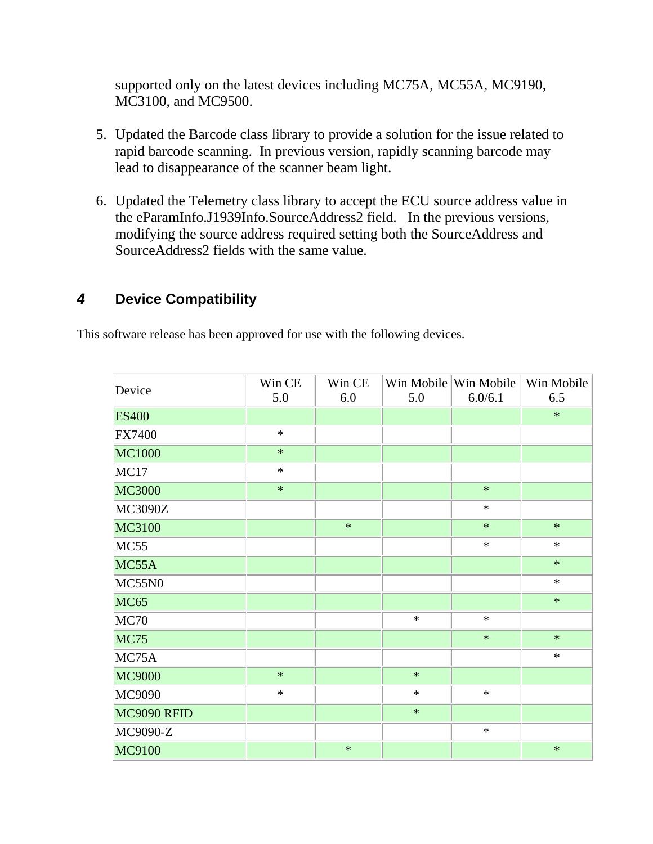supported only on the latest devices including MC75A, MC55A, MC9190, MC3100, and MC9500.

- 5. Updated the Barcode class library to provide a solution for the issue related to rapid barcode scanning. In previous version, rapidly scanning barcode may lead to disappearance of the scanner beam light.
- 6. Updated the Telemetry class library to accept the ECU source address value in the eParamInfo.J1939Info.SourceAddress2 field. In the previous versions, modifying the source address required setting both the SourceAddress and SourceAddress2 fields with the same value.

# *4* **Device Compatibility**

This software release has been approved for use with the following devices.

| Device        | Win CE<br>5.0 | Win CE<br>6.0 | 5.0    | Win Mobile Win Mobile<br>6.0/6.1 | Win Mobile<br>6.5 |
|---------------|---------------|---------------|--------|----------------------------------|-------------------|
| <b>ES400</b>  |               |               |        |                                  | $\ast$            |
| <b>FX7400</b> | $\ast$        |               |        |                                  |                   |
| <b>MC1000</b> | $\ast$        |               |        |                                  |                   |
| MC17          | $\ast$        |               |        |                                  |                   |
| <b>MC3000</b> | $\ast$        |               |        | $\ast$                           |                   |
| MC3090Z       |               |               |        | $\ast$                           |                   |
| MC3100        |               | $\ast$        |        | $\ast$                           | $\ast$            |
| MC55          |               |               |        | $\ast$                           | $\ast$            |
| MC55A         |               |               |        |                                  | $\ast$            |
| MC55N0        |               |               |        |                                  | $\ast$            |
| <b>MC65</b>   |               |               |        |                                  | $\ast$            |
| MC70          |               |               | $\ast$ | $\ast$                           |                   |
| <b>MC75</b>   |               |               |        | $\ast$                           | $\ast$            |
| MC75A         |               |               |        |                                  | $\ast$            |
| <b>MC9000</b> | $\ast$        |               | $\ast$ |                                  |                   |
| MC9090        | $\ast$        |               | $\ast$ | $\ast$                           |                   |
| MC9090 RFID   |               |               | $\ast$ |                                  |                   |
| MC9090-Z      |               |               |        | $\ast$                           |                   |
| MC9100        |               | $\ast$        |        |                                  | $\ast$            |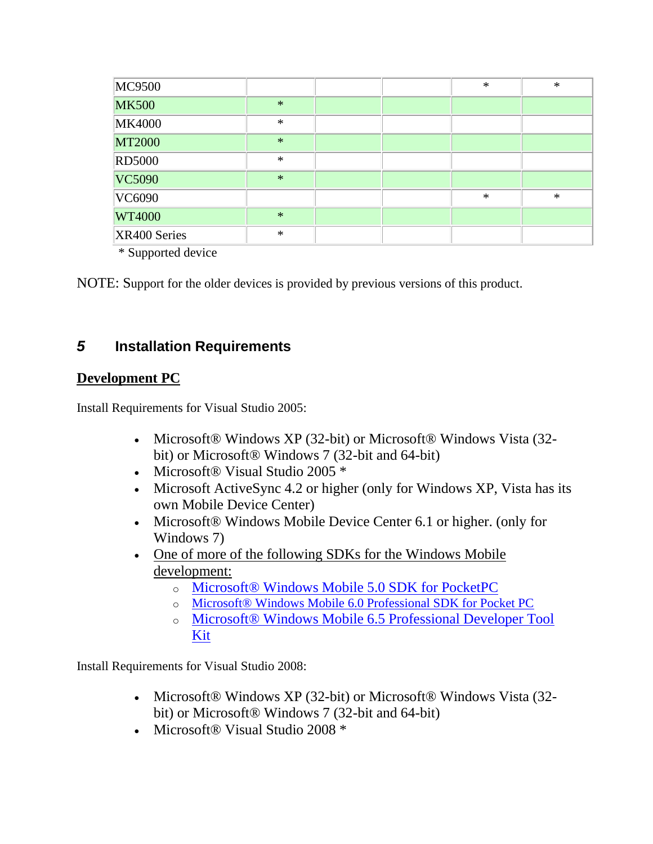| <b>MC9500</b> |        |  | $\ast$ | $\ast$ |
|---------------|--------|--|--------|--------|
| <b>MK500</b>  | $\ast$ |  |        |        |
| <b>MK4000</b> | $\ast$ |  |        |        |
| <b>MT2000</b> | $\ast$ |  |        |        |
| <b>RD5000</b> | $\ast$ |  |        |        |
| VC5090        | $\ast$ |  |        |        |
| VC6090        |        |  | $\ast$ | $\ast$ |
| <b>WT4000</b> | $\ast$ |  |        |        |
| XR400 Series  | $\ast$ |  |        |        |

\* Supported device

NOTE: Support for the older devices is provided by previous versions of this product.

## *5* **Installation Requirements**

### **Development PC**

Install Requirements for Visual Studio 2005:

- Microsoft® Windows XP (32-bit) or Microsoft® Windows Vista (32bit) or Microsoft® Windows 7 (32-bit and 64-bit)
- Microsoft® Visual Studio 2005 \*
- Microsoft ActiveSync 4.2 or higher (only for Windows XP, Vista has its own Mobile Device Center)
- Microsoft® Windows Mobile Device Center 6.1 or higher. (only for Windows 7)
- One of more of the following SDKs for the Windows Mobile [development:](http://www.microsoft.com/downloads/details.aspx?FamilyID=83A52AF2-F524-4EC5-9155-717CBE5D25ED&displaylang=en)
	- o [Microsoft® Windows Mobile 5.0 SDK for PocketPC](http://www.microsoft.com/downloads/details.aspx?FamilyID=83A52AF2-F524-4EC5-9155-717CBE5D25ED&displaylang=en)
	- o [Microsoft® Windows Mobile 6.0 Professional SDK for Pocket PC](http://www.microsoft.com/downloads/details.aspx?familyid=06111A3A-A651-4745-88EF-3D48091A390B&displaylang=en)
	- o [Microsoft® Windows Mobile 6.5 Professional Developer Tool](http://www.microsoft.com/downloads/details.aspx?FamilyID=20686a1d-97a8-4f80-bc6a-ae010e085a6e&displaylang=en)  [Kit](http://www.microsoft.com/downloads/details.aspx?FamilyID=20686a1d-97a8-4f80-bc6a-ae010e085a6e&displaylang=en)

Install Requirements for Visual Studio 2008:

- Microsoft® Windows XP (32-bit) or Microsoft® Windows Vista (32bit) or Microsoft® Windows 7 (32-bit and 64-bit)
- Microsoft® Visual Studio 2008 \*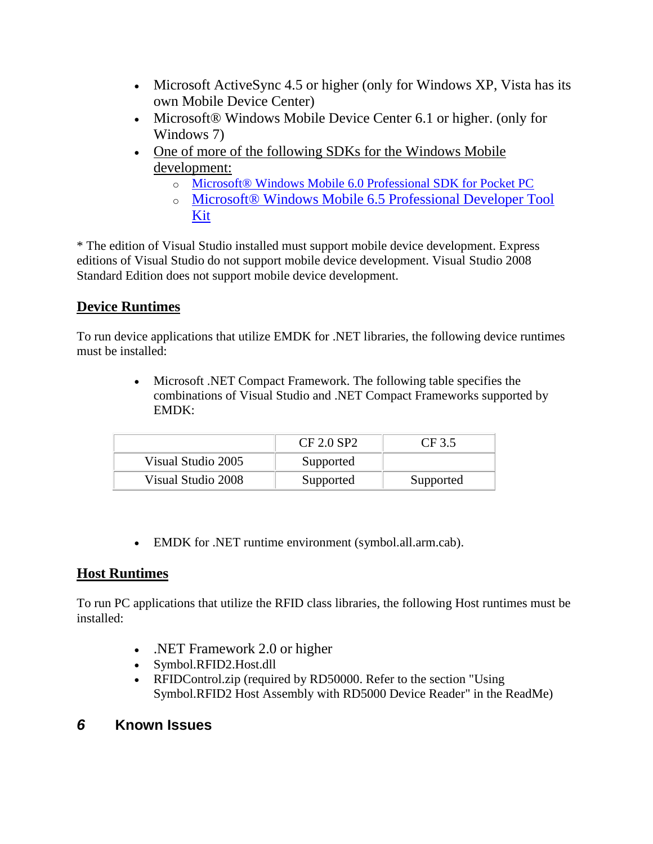- Microsoft ActiveSync 4.5 or higher (only for Windows XP, Vista has its own Mobile Device Center)
- Microsoft® Windows Mobile Device Center 6.1 or higher. (only for Windows 7)
- One of more of the following SDKs for the Windows Mobile [development:](http://www.microsoft.com/downloads/details.aspx?FamilyID=83A52AF2-F524-4EC5-9155-717CBE5D25ED&displaylang=en)
	- o [Microsoft® Windows Mobile 6.0 Professional SDK for Pocket PC](http://www.microsoft.com/downloads/details.aspx?familyid=06111A3A-A651-4745-88EF-3D48091A390B&displaylang=en)
	- o [Microsoft® Windows Mobile 6.5 Professional Developer Tool](http://www.microsoft.com/downloads/details.aspx?FamilyID=20686a1d-97a8-4f80-bc6a-ae010e085a6e&displaylang=en)  [Kit](http://www.microsoft.com/downloads/details.aspx?FamilyID=20686a1d-97a8-4f80-bc6a-ae010e085a6e&displaylang=en)

\* The edition of Visual Studio installed must support mobile device development. Express editions of Visual Studio do not support mobile device development. Visual Studio 2008 Standard Edition does not support mobile device development.

# **Device Runtimes**

To run device applications that utilize EMDK for .NET libraries, the following device runtimes must be installed:

> Microsoft .NET Compact Framework. The following table specifies the combinations of Visual Studio and .NET Compact Frameworks supported by EMDK:

|                    | CF 2.0 SP2 | CF 3.5    |
|--------------------|------------|-----------|
| Visual Studio 2005 | Supported  |           |
| Visual Studio 2008 | Supported  | Supported |

EMDK for .NET runtime environment (symbol.all.arm.cab).

### **Host Runtimes**

To run PC applications that utilize the RFID class libraries, the following Host runtimes must be installed:

- .NET Framework 2.0 or higher
- Symbol.RFID2.Host.dll
- RFIDControl.zip (required by RD50000. Refer to the section "Using Symbol.RFID2 Host Assembly with RD5000 Device Reader" in the ReadMe)

## *6* **Known Issues**